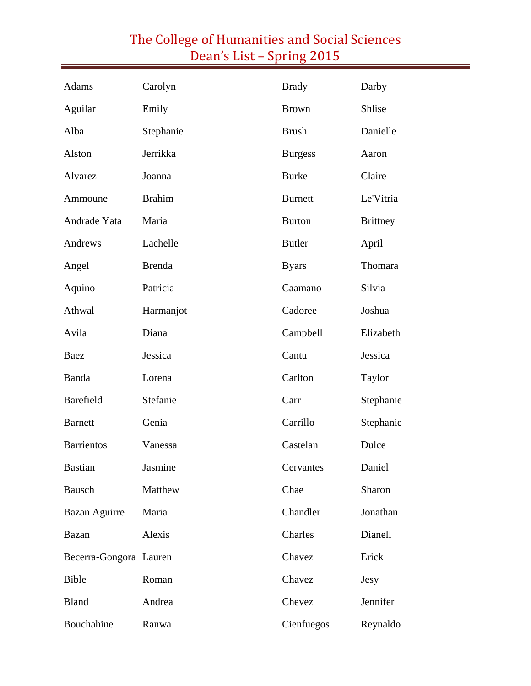| Adams                  | Carolyn       | <b>Brady</b>   | Darby           |
|------------------------|---------------|----------------|-----------------|
| Aguilar                | Emily         | <b>Brown</b>   | Shlise          |
| Alba                   | Stephanie     | <b>Brush</b>   | Danielle        |
| Alston                 | Jerrikka      | <b>Burgess</b> | Aaron           |
| Alvarez                | Joanna        | <b>Burke</b>   | Claire          |
| Ammoune                | <b>Brahim</b> | <b>Burnett</b> | Le'Vitria       |
| Andrade Yata           | Maria         | <b>Burton</b>  | <b>Brittney</b> |
| Andrews                | Lachelle      | <b>Butler</b>  | April           |
| Angel                  | <b>Brenda</b> | <b>Byars</b>   | Thomara         |
| Aquino                 | Patricia      | Caamano        | Silvia          |
| Athwal                 | Harmanjot     | Cadoree        | Joshua          |
| Avila                  | Diana         | Campbell       | Elizabeth       |
| Baez                   | Jessica       | Cantu          | Jessica         |
| Banda                  | Lorena        | Carlton        | Taylor          |
| <b>Barefield</b>       | Stefanie      | Carr           | Stephanie       |
| <b>Barnett</b>         | Genia         | Carrillo       | Stephanie       |
| <b>Barrientos</b>      | Vanessa       | Castelan       | Dulce           |
| <b>Bastian</b>         | Jasmine       | Cervantes      | Daniel          |
| Bausch                 | Matthew       | Chae           | Sharon          |
| Bazan Aguirre          | Maria         | Chandler       | Jonathan        |
| Bazan                  | Alexis        | Charles        | Dianell         |
| Becerra-Gongora Lauren |               | Chavez         | Erick           |
| <b>Bible</b>           | Roman         | Chavez         | Jesy            |
| <b>Bland</b>           | Andrea        | Chevez         | Jennifer        |
| Bouchahine             | Ranwa         | Cienfuegos     | Reynaldo        |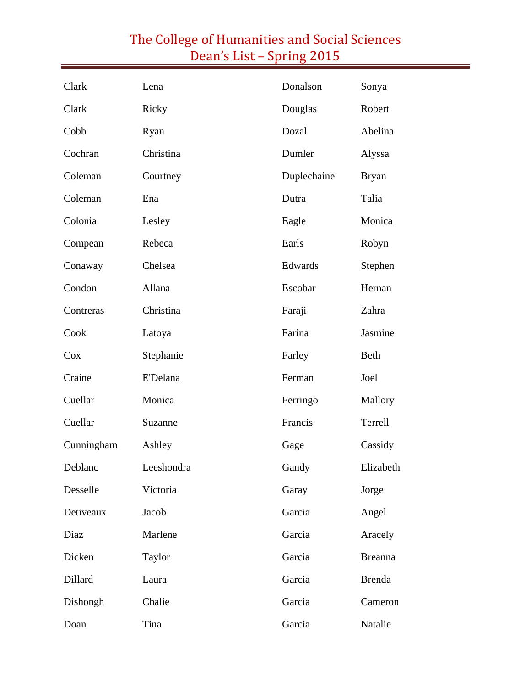| Clark      | Lena            | Donalson    | Sonya          |
|------------|-----------------|-------------|----------------|
| Clark      | Ricky           | Douglas     | Robert         |
| Cobb       | Ryan            | Dozal       | Abelina        |
| Cochran    | Christina       | Dumler      | Alyssa         |
| Coleman    | Courtney        | Duplechaine | <b>Bryan</b>   |
| Coleman    | Ena             | Dutra       | Talia          |
| Colonia    | Lesley          | Eagle       | Monica         |
| Compean    | Rebeca          | Earls       | Robyn          |
| Conaway    | Chelsea         | Edwards     | Stephen        |
| Condon     | Allana          | Escobar     | Hernan         |
| Contreras  | Christina       | Faraji      | Zahra          |
| Cook       | Latoya          | Farina      | Jasmine        |
| Cox        | Stephanie       | Farley      | Beth           |
| Craine     | <b>E'Delana</b> | Ferman      | Joel           |
| Cuellar    | Monica          | Ferringo    | Mallory        |
| Cuellar    | Suzanne         | Francis     | Terrell        |
| Cunningham | Ashley          | Gage        | Cassidy        |
| Deblanc    | Leeshondra      | Gandy       | Elizabeth      |
| Desselle   | Victoria        | Garay       | Jorge          |
| Detiveaux  | Jacob           | Garcia      | Angel          |
| Diaz       | Marlene         | Garcia      | Aracely        |
| Dicken     | Taylor          | Garcia      | <b>Breanna</b> |
| Dillard    | Laura           | Garcia      | <b>Brenda</b>  |
| Dishongh   | Chalie          | Garcia      | Cameron        |
| Doan       | Tina            | Garcia      | Natalie        |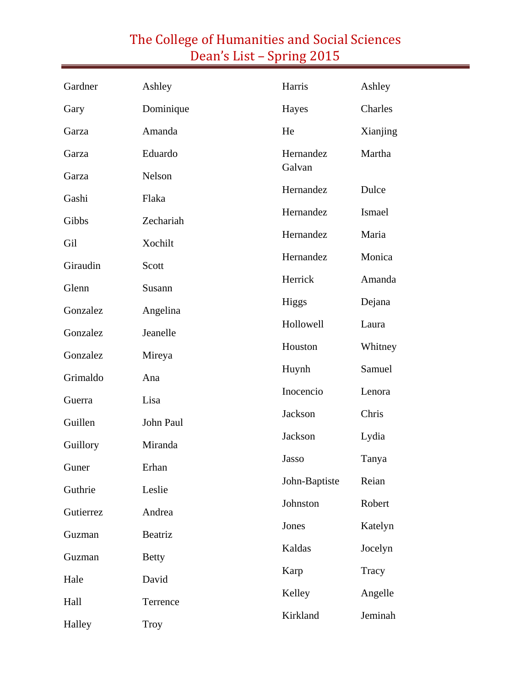| Gardner   | Ashley       | Harris              | Ashley   |
|-----------|--------------|---------------------|----------|
| Gary      | Dominique    | Hayes               | Charles  |
| Garza     | Amanda       | He                  | Xianjing |
| Garza     | Eduardo      | Hernandez           | Martha   |
| Garza     | Nelson       | Galvan              |          |
| Gashi     | Flaka        | Hernandez           | Dulce    |
| Gibbs     | Zechariah    | Hernandez           | Ismael   |
| Gil       | Xochilt      | Hernandez           | Maria    |
| Giraudin  | Scott        | Hernandez<br>Monica |          |
| Glenn     | Susann       | Herrick             | Amanda   |
| Gonzalez  | Angelina     | Higgs               | Dejana   |
| Gonzalez  | Jeanelle     | Hollowell           | Laura    |
| Gonzalez  | Mireya       | Houston             | Whitney  |
| Grimaldo  | Ana          | Huynh               | Samuel   |
| Guerra    | Lisa         | Inocencio           | Lenora   |
| Guillen   | John Paul    | Jackson             | Chris    |
| Guillory  | Miranda      | Jackson             | Lydia    |
| Guner     | Erhan        | Jasso               | Tanya    |
| Guthrie   | Leslie       | John-Baptiste       | Reian    |
| Gutierrez | Andrea       | Johnston            | Robert   |
| Guzman    | Beatriz      | Jones               | Katelyn  |
| Guzman    | <b>Betty</b> | Kaldas              | Jocelyn  |
| Hale      | David        | Karp                | Tracy    |
| Hall      | Terrence     | Kelley              | Angelle  |
| Halley    | <b>Troy</b>  | Kirkland            | Jeminah  |
|           |              |                     |          |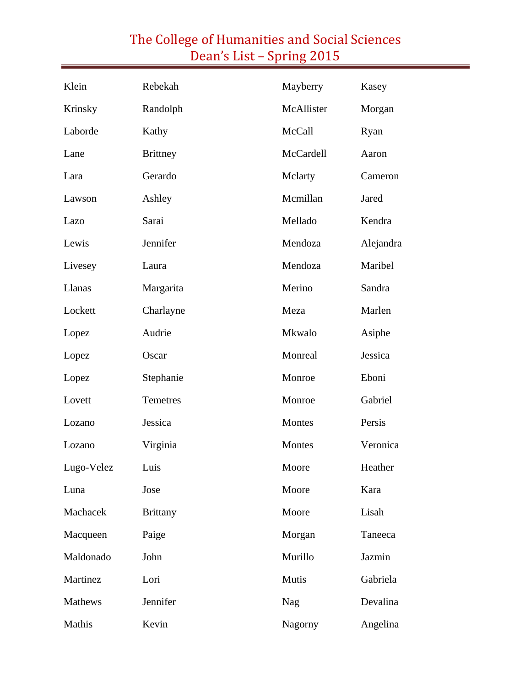#### Klein Rebekah Krinsky Randolph Laborde Kathy Lane Brittney Lara Gerardo Lawson Ashley Lazo Sarai Lewis Jennifer Livesey Laura Llanas Margarita Lockett Charlayne Lopez Audrie Lopez Oscar Lopez Stephanie Lovett Temetres Lozano Jessica Lozano Virginia Lugo-Velez Luis Luna Jose Machacek Brittany Macqueen Paige Maldonado John Martinez Lori Mathews Jennifer Mayberry Kasey McAllister Morgan McCall Ryan McCardell Aaron Mclarty Cameron Mcmillan Jared Mellado Kendra Mendoza Alejandra Mendoza Maribel Merino Sandra Meza Marlen Mkwalo Asiphe Monreal Jessica Monroe Eboni Monroe Gabriel Montes Persis Montes Veronica Moore Heather Moore Kara Moore Lisah Morgan Taneeca Murillo Jazmin Mutis Gabriela Nag Devalina

Nagorny Angelina

Mathis Kevin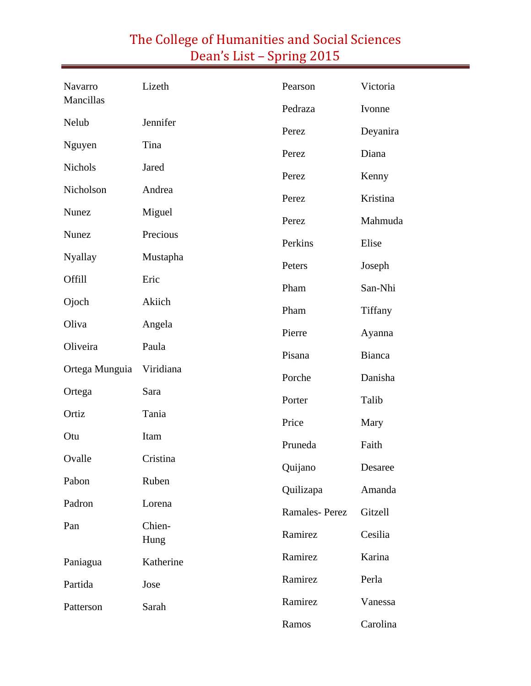| Navarro        | Lizeth         | Pearson              | Victoria          |
|----------------|----------------|----------------------|-------------------|
| Mancillas      |                | Pedraza              | Ivonne            |
| Nelub          | Jennifer       | Perez                | Deyanira          |
| Nguyen         | Tina           | Perez                | Diana             |
| <b>Nichols</b> | Jared          | Perez                | Kenny             |
| Nicholson      | Andrea         | Perez                | Kristina          |
| Nunez          | Miguel         | Perez                | Mahmuda           |
| Nunez          | Precious       | Perkins              | Elise             |
| <b>Nyallay</b> | Mustapha       | Peters               | Joseph            |
| Offill         | Eric           |                      |                   |
| Ojoch          | Akiich         | Pham                 | San-Nhi           |
| Oliva          | Angela         | Pham                 | Tiffany           |
|                |                | Pierre               | Ayanna            |
| Oliveira       | Paula          | Pisana               | Bianca            |
| Ortega Munguia | Viridiana      | Porche               | Danisha           |
| Ortega         | Sara           | Porter               | Talib             |
| Ortiz          | Tania          | Price                | Mary              |
| Otu            | Itam           | Pruneda              | Faith             |
| Ovalle         | Cristina       | Quijano              | Desaree           |
| Pabon          | Ruben          | Quilizapa            |                   |
| Padron         | Lorena         | <b>Ramales-Perez</b> | Amanda<br>Gitzell |
| Pan            | Chien-<br>Hung |                      |                   |
|                |                | Ramirez              | Cesilia           |
| Paniagua       | Katherine      | Ramirez              | Karina            |
| Partida        | Jose           | Ramirez              | Perla             |
| Patterson      | Sarah          | Ramirez              | Vanessa           |
|                |                | Ramos                | Carolina          |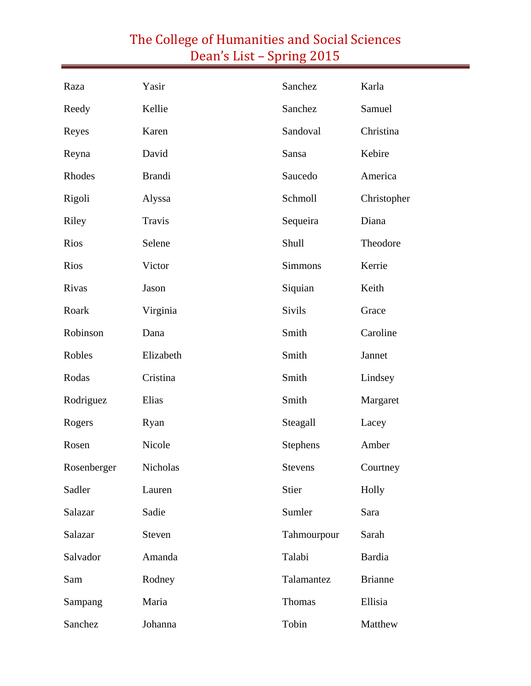| Raza        | Yasir         | Sanchez         | Karla          |
|-------------|---------------|-----------------|----------------|
| Reedy       | Kellie        | Sanchez         | Samuel         |
| Reyes       | Karen         | Sandoval        | Christina      |
| Reyna       | David         | Sansa           | Kebire         |
| Rhodes      | <b>Brandi</b> | Saucedo         | America        |
| Rigoli      | Alyssa        | Schmoll         | Christopher    |
| Riley       | Travis        | Sequeira        | Diana          |
| Rios        | Selene        | Shull           | Theodore       |
| Rios        | Victor        | <b>Simmons</b>  | Kerrie         |
| Rivas       | Jason         | Siquian         | Keith          |
| Roark       | Virginia      | <b>Sivils</b>   | Grace          |
| Robinson    | Dana          | Smith           | Caroline       |
| Robles      | Elizabeth     | Smith           | Jannet         |
| Rodas       | Cristina      | Smith           | Lindsey        |
| Rodriguez   | Elias         | Smith           | Margaret       |
| Rogers      | Ryan          | Steagall        | Lacey          |
| Rosen       | Nicole        | <b>Stephens</b> | Amber          |
| Rosenberger | Nicholas      | Stevens         | Courtney       |
| Sadler      | Lauren        | Stier           | Holly          |
| Salazar     | Sadie         | Sumler          | Sara           |
| Salazar     | Steven        | Tahmourpour     | Sarah          |
| Salvador    | Amanda        | Talabi          | <b>Bardia</b>  |
| Sam         | Rodney        | Talamantez      | <b>Brianne</b> |
| Sampang     | Maria         | Thomas          | Ellisia        |
| Sanchez     | Johanna       | Tobin           | Matthew        |